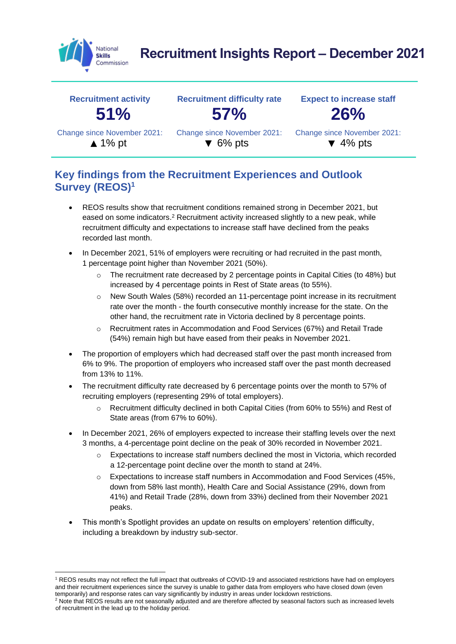

# **Recruitment Insights Report – December 2021**

| <b>Recruitment activity</b> | <b>Recruitment difficulty rate</b> | <b>Expect to increase staff</b> |  |  |
|-----------------------------|------------------------------------|---------------------------------|--|--|
| 51%                         | 57%                                | <b>26%</b>                      |  |  |
| Change since November 2021: | Change since November 2021:        | Change since November 2021:     |  |  |
| $\triangle$ 1% pt           | $\blacktriangledown$ 6% pts        | $\blacktriangledown$ 4% pts     |  |  |

### **Key findings from the Recruitment Experiences and Outlook Survey (REOS)<sup>1</sup>**

- REOS results show that recruitment conditions remained strong in December 2021, but eased on some indicators.<sup>2</sup> Recruitment activity increased slightly to a new peak, while recruitment difficulty and expectations to increase staff have declined from the peaks recorded last month.
- In December 2021, 51% of employers were recruiting or had recruited in the past month, 1 percentage point higher than November 2021 (50%).
	- $\circ$  The recruitment rate decreased by 2 percentage points in Capital Cities (to 48%) but increased by 4 percentage points in Rest of State areas (to 55%).
	- o New South Wales (58%) recorded an 11-percentage point increase in its recruitment rate over the month - the fourth consecutive monthly increase for the state. On the other hand, the recruitment rate in Victoria declined by 8 percentage points.
	- Recruitment rates in Accommodation and Food Services (67%) and Retail Trade (54%) remain high but have eased from their peaks in November 2021.
- The proportion of employers which had decreased staff over the past month increased from 6% to 9%. The proportion of employers who increased staff over the past month decreased from 13% to 11%.
- The recruitment difficulty rate decreased by 6 percentage points over the month to 57% of recruiting employers (representing 29% of total employers).
	- Recruitment difficulty declined in both Capital Cities (from 60% to 55%) and Rest of State areas (from 67% to 60%).
- In December 2021, 26% of employers expected to increase their staffing levels over the next 3 months, a 4-percentage point decline on the peak of 30% recorded in November 2021.
	- $\circ$  Expectations to increase staff numbers declined the most in Victoria, which recorded a 12-percentage point decline over the month to stand at 24%.
	- o Expectations to increase staff numbers in Accommodation and Food Services (45%, down from 58% last month), Health Care and Social Assistance (29%, down from 41%) and Retail Trade (28%, down from 33%) declined from their November 2021 peaks.
- This month's Spotlight provides an update on results on employers' retention difficulty, including a breakdown by industry sub-sector.

<sup>&</sup>lt;sup>1</sup> REOS results may not reflect the full impact that outbreaks of COVID-19 and associated restrictions have had on employers and their recruitment experiences since the survey is unable to gather data from employers who have closed down (even temporarily) and response rates can vary significantly by industry in areas under lockdown restrictions.

<sup>&</sup>lt;sup>2</sup> Note that REOS results are not seasonally adjusted and are therefore affected by seasonal factors such as increased levels of recruitment in the lead up to the holiday period.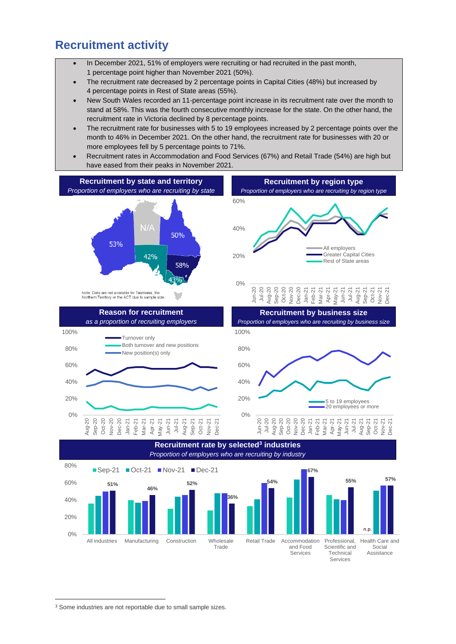### **Recruitment activity**

- In December 2021, 51% of employers were recruiting or had recruited in the past month, 1 percentage point higher than November 2021 (50%).
- The recruitment rate decreased by 2 percentage points in Capital Cities (48%) but increased by 4 percentage points in Rest of State areas (55%).
- New South Wales recorded an 11-percentage point increase in its recruitment rate over the month to stand at 58%. This was the fourth consecutive monthly increase for the state. On the other hand, the recruitment rate in Victoria declined by 8 percentage points.
- The recruitment rate for businesses with 5 to 19 employees increased by 2 percentage points over the month to 46% in December 2021. On the other hand, the recruitment rate for businesses with 20 or more employees fell by 5 percentage points to 71%.
- Recruitment rates in Accommodation and Food Services (67%) and Retail Trade (54%) are high but have eased from their peaks in November 2021.



Aug-20 Sep-20 Oct-20 Nov-20 Dec-20 Jan-21 Feb-21 Mar-21 Apr-21 May-21 Jun-21 Jul-21 Aug-21 Sep-21 Oct-21 Nov-21 Dec-21 20%

0%

20%



**Recruitment rate by selected<sup>3</sup> industries** *Proportion of employers who are recruiting by industry*



<sup>&</sup>lt;sup>3</sup> Some industries are not reportable due to small sample sizes.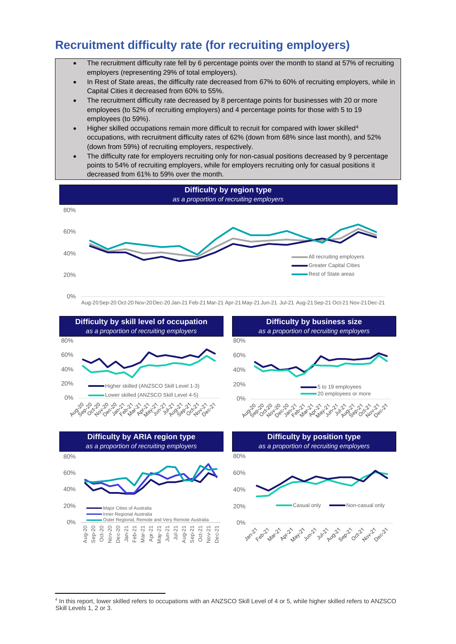## **Recruitment difficulty rate (for recruiting employers)**

- The recruitment difficulty rate fell by 6 percentage points over the month to stand at 57% of recruiting employers (representing 29% of total employers).
- In Rest of State areas, the difficulty rate decreased from 67% to 60% of recruiting employers, while in Capital Cities it decreased from 60% to 55%.
- The recruitment difficulty rate decreased by 8 percentage points for businesses with 20 or more employees (to 52% of recruiting employers) and 4 percentage points for those with 5 to 19 employees (to 59%).
- Higher skilled occupations remain more difficult to recruit for compared with lower skilled<sup>4</sup> occupations, with recruitment difficulty rates of 62% (down from 68% since last month), and 52% (down from 59%) of recruiting employers, respectively.
- The difficulty rate for employers recruiting only for non-casual positions decreased by 9 percentage points to 54% of recruiting employers, while for employers recruiting only for casual positions it decreased from 61% to 59% over the month.











4 In this report, lower skilled refers to occupations with an ANZSCO Skill Level of 4 or 5, while higher skilled refers to ANZSCO Skill Levels 1, 2 or 3.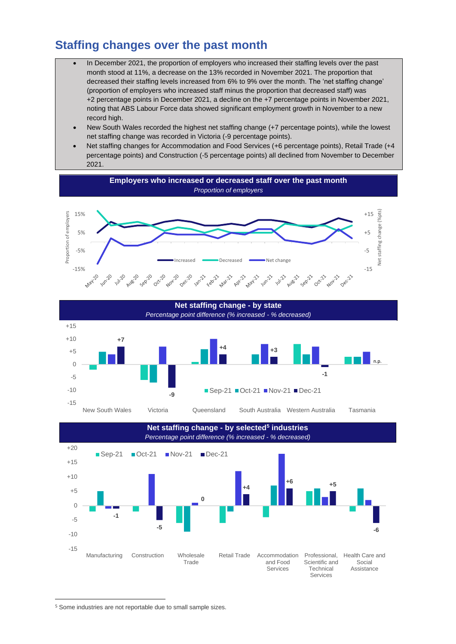### **Staffing changes over the past month**

- In December 2021, the proportion of employers who increased their staffing levels over the past month stood at 11%, a decrease on the 13% recorded in November 2021. The proportion that decreased their staffing levels increased from 6% to 9% over the month. The 'net staffing change' (proportion of employers who increased staff minus the proportion that decreased staff) was +2 percentage points in December 2021, a decline on the +7 percentage points in November 2021, noting that ABS Labour Force data showed significant employment growth in November to a new record high.
- New South Wales recorded the highest net staffing change (+7 percentage points), while the lowest net staffing change was recorded in Victoria (-9 percentage points).
- Net staffing changes for Accommodation and Food Services (+6 percentage points), Retail Trade (+4 percentage points) and Construction (-5 percentage points) all declined from November to December 2021.



**Net staffing change - by state** *Percentage point difference (% increased - % decreased)* **+7 -9 +4 +3 -1** -15 -10 -5  $\Omega$ +5  $+10$  $+15$ New South Wales Victoria Queensland South Australia Western Australia Tasmania  $\blacksquare$  Sep-21  $\blacksquare$  Oct-21  $\blacksquare$  Nov-21  $\blacksquare$  Dec-21 n.p.



<sup>5</sup> Some industries are not reportable due to small sample sizes.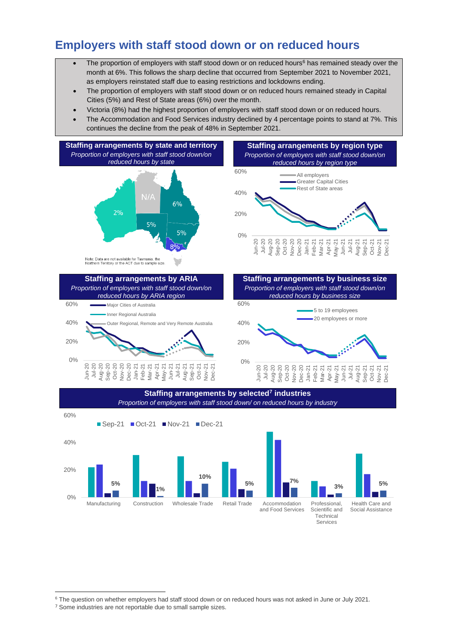## **Employers with staff stood down or on reduced hours**

- The proportion of employers with staff stood down or on reduced hours<sup>6</sup> has remained steady over the month at 6%. This follows the sharp decline that occurred from September 2021 to November 2021, as employers reinstated staff due to easing restrictions and lockdowns ending.
- The proportion of employers with staff stood down or on reduced hours remained steady in Capital Cities (5%) and Rest of State areas (6%) over the month.
- Victoria (8%) had the highest proportion of employers with staff stood down or on reduced hours.
- The Accommodation and Food Services industry declined by 4 percentage points to stand at 7%. This continues the decline from the peak of 48% in September 2021.







Jan-21 Feb-21 Mar-21 Apr-21  $\text{law-21}$ Jun-21 Jul-21 Aug-21 Sep-21 Oct-21 Nov-21 Dec-21

•5 to 19 employees ■ 20 employees or more

<sup>&</sup>lt;sup>6</sup> The question on whether employers had staff stood down or on reduced hours was not asked in June or July 2021.

<sup>&</sup>lt;sup>7</sup> Some industries are not reportable due to small sample sizes.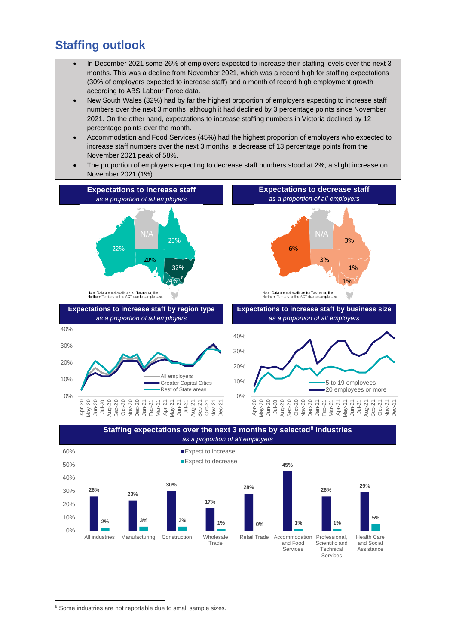### **Staffing outlook**

- In December 2021 some 26% of employers expected to increase their staffing levels over the next 3 months. This was a decline from November 2021, which was a record high for staffing expectations (30% of employers expected to increase staff) and a month of record high employment growth according to ABS Labour Force data.
- New South Wales (32%) had by far the highest proportion of employers expecting to increase staff numbers over the next 3 months, although it had declined by 3 percentage points since November 2021. On the other hand, expectations to increase staffing numbers in Victoria declined by 12 percentage points over the month.
- Accommodation and Food Services (45%) had the highest proportion of employers who expected to increase staff numbers over the next 3 months, a decrease of 13 percentage points from the November 2021 peak of 58%.
- The proportion of employers expecting to decrease staff numbers stood at 2%, a slight increase on November 2021 (1%).





<sup>8</sup> Some industries are not reportable due to small sample sizes.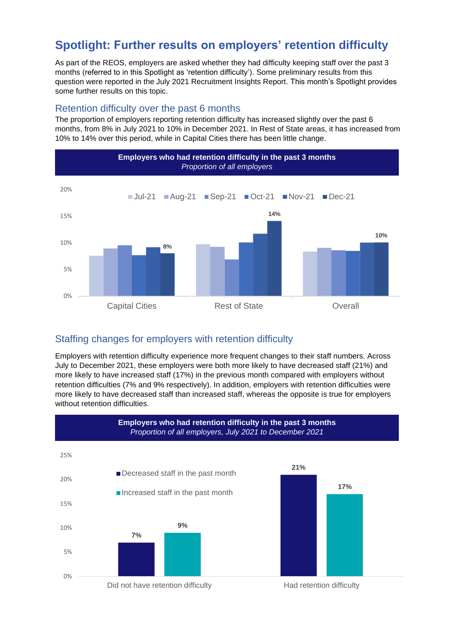## **Spotlight: Further results on employers' retention difficulty**

As part of the REOS, employers are asked whether they had difficulty keeping staff over the past 3 months (referred to in this Spotlight as 'retention difficulty'). Some preliminary results from this question were reported in the July 2021 Recruitment Insights Report. This month's Spotlight provides some further results on this topic.

#### Retention difficulty over the past 6 months

The proportion of employers reporting retention difficulty has increased slightly over the past 6 months, from 8% in July 2021 to 10% in December 2021. In Rest of State areas, it has increased from 10% to 14% over this period, while in Capital Cities there has been little change.



#### Staffing changes for employers with retention difficulty

Employers with retention difficulty experience more frequent changes to their staff numbers. Across July to December 2021, these employers were both more likely to have decreased staff (21%) and more likely to have increased staff (17%) in the previous month compared with employers without retention difficulties (7% and 9% respectively). In addition, employers with retention difficulties were more likely to have decreased staff than increased staff, whereas the opposite is true for employers without retention difficulties.

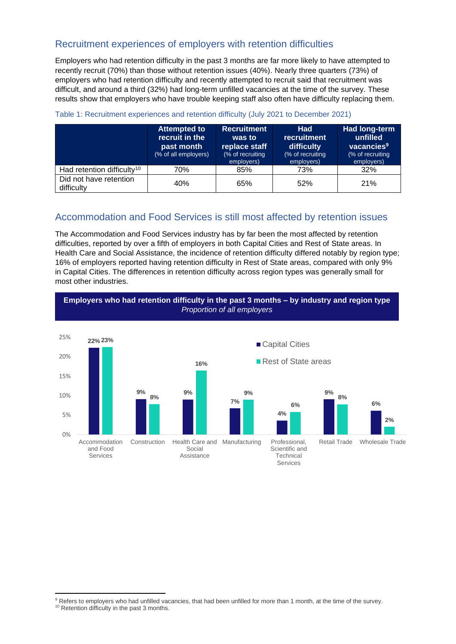### Recruitment experiences of employers with retention difficulties

Employers who had retention difficulty in the past 3 months are far more likely to have attempted to recently recruit (70%) than those without retention issues (40%). Nearly three quarters (73%) of employers who had retention difficulty and recently attempted to recruit said that recruitment was difficult, and around a third (32%) had long-term unfilled vacancies at the time of the survey. These results show that employers who have trouble keeping staff also often have difficulty replacing them.

|                                        | <b>Attempted to</b><br>recruit in the<br>past month<br>(% of all employers) | <b>Recruitment</b><br>was to<br>replace staff<br>(% of recruiting<br>employers) | <b>Had</b><br>recruitment<br>difficulty<br>(% of recruiting<br>employers) | Had long-term<br>unfilled<br>vacancies <sup>9</sup><br>(% of recruiting<br>employers) |
|----------------------------------------|-----------------------------------------------------------------------------|---------------------------------------------------------------------------------|---------------------------------------------------------------------------|---------------------------------------------------------------------------------------|
| Had retention difficulty <sup>10</sup> | 70%                                                                         | 85%                                                                             | 73%                                                                       | 32%                                                                                   |
| Did not have retention<br>difficulty   | 40%                                                                         | 65%                                                                             | 52%                                                                       | 21%                                                                                   |

#### Table 1: Recruitment experiences and retention difficulty (July 2021 to December 2021)

### Accommodation and Food Services is still most affected by retention issues

The Accommodation and Food Services industry has by far been the most affected by retention difficulties, reported by over a fifth of employers in both Capital Cities and Rest of State areas. In Health Care and Social Assistance, the incidence of retention difficulty differed notably by region type; 16% of employers reported having retention difficulty in Rest of State areas, compared with only 9% in Capital Cities. The differences in retention difficulty across region types was generally small for most other industries.



<sup>9</sup> Refers to employers who had unfilled vacancies, that had been unfilled for more than 1 month, at the time of the survey.

<sup>&</sup>lt;sup>10</sup> Retention difficulty in the past 3 months.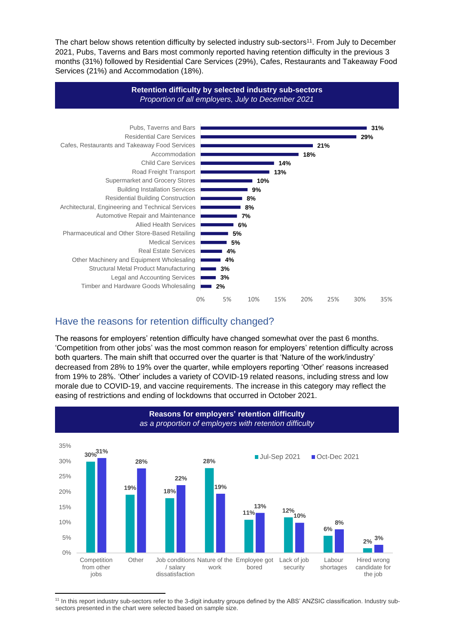The chart below shows retention difficulty by selected industry sub-sectors<sup>11</sup>. From July to December 2021, Pubs, Taverns and Bars most commonly reported having retention difficulty in the previous 3 months (31%) followed by Residential Care Services (29%), Cafes, Restaurants and Takeaway Food Services (21%) and Accommodation (18%).



### Have the reasons for retention difficulty changed?

The reasons for employers' retention difficulty have changed somewhat over the past 6 months. 'Competition from other jobs' was the most common reason for employers' retention difficulty across both quarters. The main shift that occurred over the quarter is that 'Nature of the work/industry' decreased from 28% to 19% over the quarter, while employers reporting 'Other' reasons increased from 19% to 28%. 'Other' includes a variety of COVID-19 related reasons, including stress and low morale due to COVID-19, and vaccine requirements. The increase in this category may reflect the easing of restrictions and ending of lockdowns that occurred in October 2021.



<sup>11</sup> In this report industry sub-sectors refer to the 3-digit industry groups defined by the ABS' ANZSIC classification. Industry subsectors presented in the chart were selected based on sample size.